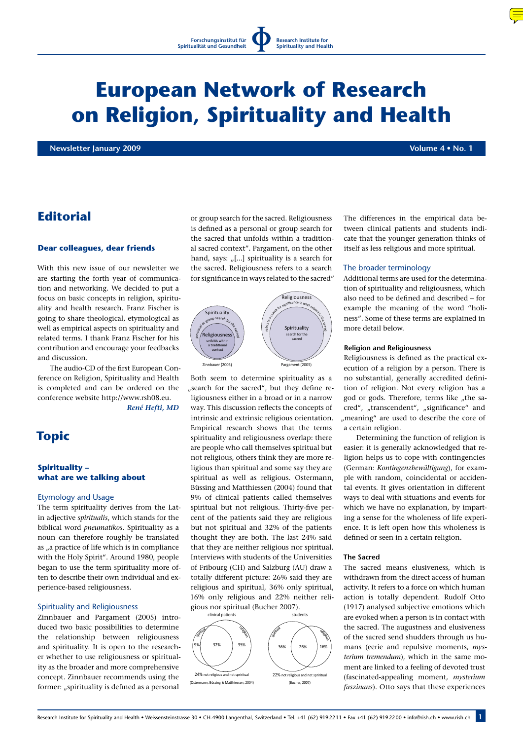# **European Network of Research on Religion, Spirituality and Health**

**Newsletter January 2009 Volume 4 • No. 1**

# **Editorial**

#### **Dear colleagues, dear friends**

With this new issue of our newsletter we are starting the forth year of communication and networking. We decided to put a focus on basic concepts in religion, spirituality and health research. Franz Fischer is going to share theological, etymological as well as empirical aspects on spirituality and related terms. I thank Franz Fischer for his contribution and encourage your feedbacks and discussion.

The audio-CD of the first European Conference on Religion, Spirituality and Health is completed and can be ordered on the conference website http://www.rsh08.eu.

*René Hefti, MD*

# **Topic**

# **Spirituality – what are we talking about**

#### Etymology and Usage

The term spirituality derives from the Latin adjective *spiritualis*, which stands for the biblical word *pneumatikos*. Spirituality as a noun can therefore roughly be translated as "a practice of life which is in compliance with the Holy Spirit". Around 1980, people began to use the term spirituality more often to describe their own individual and experience-based religiousness.

#### Spirituality and Religiousness

Zinnbauer and Pargament (2005) introduced two basic possibilities to determine the relationship between religiousness and spirituality. It is open to the researcher whether to use religiousness or spirituality as the broader and more comprehensive concept. Zinnbauer recommends using the former: "spirituality is defined as a personal

or group search for the sacred. Religiousness is defined as a personal or group search for the sacred that unfolds within a traditional sacred context". Pargament, on the other hand, says:  $\lbrack$ ...] spirituality is a search for the sacred. Religiousness refers to a search for significance in ways related to the sacred"



Both seem to determine spirituality as a "search for the sacred", but they define religiousness either in a broad or in a narrow way. This discussion reflects the concepts of intrinsic and extrinsic religious orientation. Empirical research shows that the terms spirituality and religiousness overlap: there are people who call themselves spiritual but not religious, others think they are more religious than spiritual and some say they are spiritual as well as religious. Ostermann, Büssing and Matthiessen (2004) found that 9% of clinical patients called themselves spiritual but not religious. Thirty-five percent of the patients said they are religious but not spiritual and 32% of the patients thought they are both. The last 24% said that they are neither religious nor spiritual. Interviews with students of the Universities of Fribourg (CH) and Salzburg (AU) draw a totally different picture: 26% said they are religious and spiritual, 36% only spiritual, 16% only religious and 22% neither religious nor spiritual (Bucher 2007).



The differences in the empirical data between clinical patients and students indicate that the younger generation thinks of itself as less religious and more spiritual.

#### The broader terminology

Additional terms are used for the determination of spirituality and religiousness, which also need to be defined and described – for example the meaning of the word "holiness". Some of these terms are explained in more detail below.

#### **Religion and Religiousness**

Religiousness is defined as the practical execution of a religion by a person. There is no substantial, generally accredited definition of religion. Not every religion has a god or gods. Therefore, terms like "the sacred", "transcendent", "significance" and "meaning" are used to describe the core of a certain religion.

Determining the function of religion is easier: it is generally acknowledged that religion helps us to cope with contingencies (German: *Kontingenzbewältigung*), for example with random, coincidental or accidental events. It gives orientation in different ways to deal with situations and events for which we have no explanation, by imparting a sense for the wholeness of life experience. It is left open how this wholeness is defined or seen in a certain religion.

#### **The Sacred**

The sacred means elusiveness, which is withdrawn from the direct access of human activity. It refers to a force on which human action is totally dependent. Rudolf Otto (1917) analysed subjective emotions which are evoked when a person is in contact with the sacred. The augustness and elusiveness of the sacred send shudders through us humans (eerie and repulsive moments, *mysterium tremendum*), which in the same moment are linked to a feeling of devoted trust (fascinated-appealing moment, *mysterium faszinans*). Otto says that these experiences